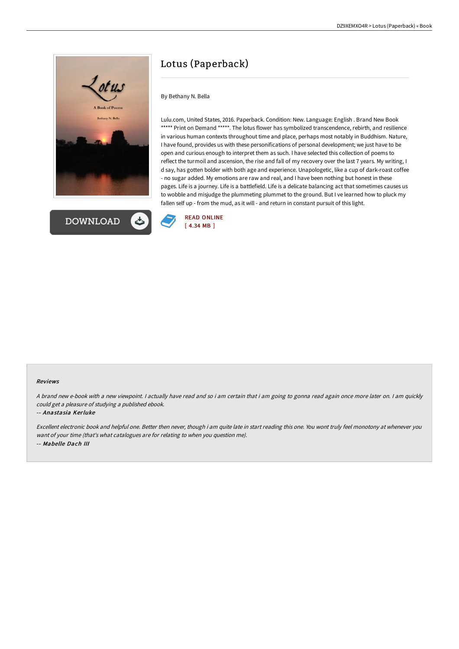



# Lotus (Paperback)

# By Bethany N. Bella

Lulu.com, United States, 2016. Paperback. Condition: New. Language: English . Brand New Book \*\*\*\*\* Print on Demand \*\*\*\*\*. The lotus flower has symbolized transcendence, rebirth, and resilience in various human contexts throughout time and place, perhaps most notably in Buddhism. Nature, I have found, provides us with these personifications of personal development; we just have to be open and curious enough to interpret them as such. I have selected this collection of poems to reflect the turmoil and ascension, the rise and fall of my recovery over the last 7 years. My writing, I d say, has gotten bolder with both age and experience. Unapologetic, like a cup of dark-roast coffee - no sugar added. My emotions are raw and real, and I have been nothing but honest in these pages. Life is a journey. Life is a battlefield. Life is a delicate balancing act that sometimes causes us to wobble and misjudge the plummeting plummet to the ground. But I ve learned how to pluck my fallen self up - from the mud, as it will - and return in constant pursuit of this light.



#### Reviews

A brand new e-book with <sup>a</sup> new viewpoint. I actually have read and so i am certain that i am going to gonna read again once more later on. I am quickly could get <sup>a</sup> pleasure of studying <sup>a</sup> published ebook.

#### -- Anastasia Kerluke

Excellent electronic book and helpful one. Better then never, though i am quite late in start reading this one. You wont truly feel monotony at whenever you want of your time (that's what catalogues are for relating to when you question me). -- Mabelle Dach III